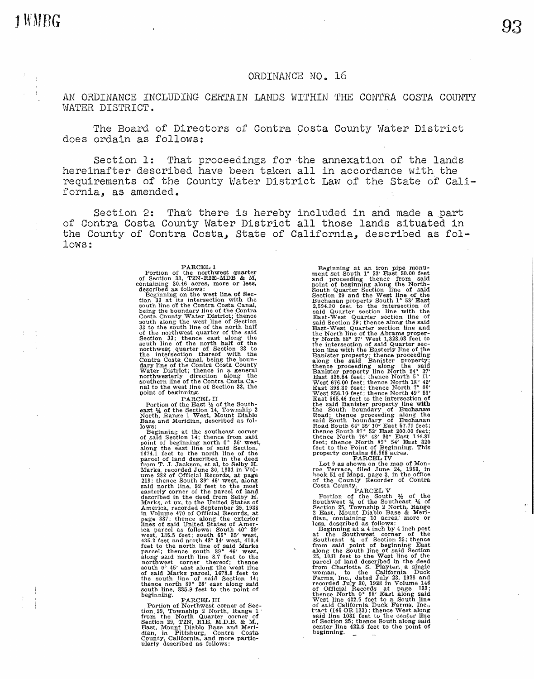$1 \, \text{WMBG}$  93

## ORDINANCE NO. 16

AN ORDINANCE INCLUDING CERTAIN LANDS WITHIN THE CONTRA COSTA COUNTY WATER DISTRICT.

The Board of Directors of Contra Costa County Water District does ordain as follows:

Section 1: That proceedings for the annexation of the lands hereinafter described have been taken all in accordance with the requirements of the County Water District Law of the State of California, as amended.

Section 2: That there is hereby included in and made a part of Contra Costa County Water District all those lands situated in the County of Contra Costa, State of California, described as follows:

Parcello I changed and the northwest quarter<br>of Section 33, T2N-R2E-MDB & M,<br>containing 30.46 acres, more or less,<br>described as follows:<br>Heganing on the west line of Section<br>tion 33 at its intersection with the<br>seginning o point of beginning.<br>PARCEL II

Portion of the East 1% of the South-<br>east 14 of the Section 14, Township 2<br>North, Range 1 West, Mount Diablo<br>Base and Meridian, described as fol-

Iows:<br>
Beginning at the southeast corner<br>
Beginning at the southeast corner<br>
point of eagining north 0° 26' west,<br>
along the east line of said Section,<br>
1674.1 feet to the north line of the<br>
parcel of land described in th

tion, 29, Township 2 North, Range 1<br>from the North Quarter corner of<br>Section 29, T2N, R1E, M.D.B. & M.,<br>East, Mount Diablo Base and Meri-<br>dian, in Pittsburg, Contra Costa<br>Cuatry Galifornia, and more partic-<br>ularly describe

Beginning at an iron pipe monu-<br>ment set South 1° 53' Exast 50.00 feet<br>and proceeding thence from said<br>point of beginning along the North-Section line of said<br>Section 29 and the West line of said<br>Ecction 29 and the West li Banister property; thence proceeding<br>
Banister property; thence proceeding<br>
along the said Banister property;<br>
thence proceeding along the said<br>
Eanst 325.54 feet; thence North 5° 11'<br>
West 876.00 feet; thence North 18° 42

Lot 9 as shown on the map of Mon-<br>roe Terace, filed June 24, 1953, in<br>book 51 of Maps, page 3, in the office<br>of the County Recorder of Contra<br>Costa County.<br>PARCEL V<br>Fortion of the South 14 of the<br>Section 25, Township 2 No

Essay used as incompted as incompt of the Suchretter of the Suchrest corner of the Suchrest conducts of Suchrest Suchrest is a 25, 1031 feet to the West line of said Section 25; thence  $25$ , 1031 feet to the West line of t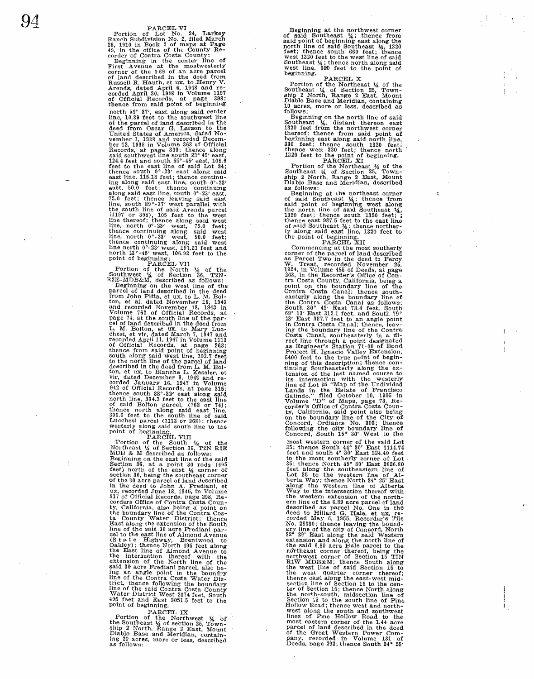$94$  Parcel VI Portion of Lot No. 24, Larkey Ranch Subdivision No. 2, filed March 28, 1910 in Book 2 of maps at Page 49. in the office of the County Recorder ·of Contra Costa County: Beginning in the center line of First Avenue at the mostwesterly<br>corner of the 0.69 of an acre parcel<br>Riand described in the deed from<br>Russell R. Hauth, et ux, to Henry V.<br>Arends, dated April 6, 1948 and re-<br>corded April 30, 1948 in Volume 1197<br>of Offici thence from said point of beginning north 39° 37′, east along said center<br>tine, 10.89 reet to the southwest line<br>of the parcel of land described in the<br>deed from Oscar G. Larson to the<br>United States A. Carlo A. Carlo United States A. Carlo United States A.<br> 75.0 feet; thence leaving said east line, south 89°-37' west parallel with the south line of said Arends parcel<br>(1197 or 398), 105 feet to the west<br>line thereof; thence along said west<br>line, north 0°-23' west, 75.0 feet; thence continuing along said west<br>line, north  $0^{\circ}$ -23' west, 50.0 feet;

thence continuing along said west<br>thence continuing along said west<br>ine north  $23$  vest, 191.21 feet and<br>north  $23$  vest, 191.21 feet to the<br>point of beginning;<br>Farg. 16.92 feet to the<br>Nouthwest  $\frac{1}{4}$  of Section 36, T

Portion of the South  $\frac{1}{2}$  of the Nurtheast  $\frac{1}{2}$  of the MDDB & M described as follows:<br>MDDB & M described as follows:<br>Beginning on the east line of the said<br>Section 36, at a point 30 rods (495<br>feet) north of the in the deed to John A. Frediani, et<br>tux, recorded June 18, 1945, in Volume<br>2017 of Official Records, page 298, Re-<br>corders Office of Contra Costa Coun-<br>ty, California, also being a point on<br>the boundary line of the Contra

PARCEL IX<br>Portion of the Northwest 4 of the Southeast ¼ of section 25, 'I'own-<br>hip 2 North, Range 2 East, Mount<br>Diablo Base and Meridian, contain-<br>ing 20 acres, more or less, described<br>as follows: Beginning at the northwest corner said Southeast  $\frac{1}{4}$ ; thence from said Southeast  $\frac{1}{4}$ , 1820 feet; thence south 660 feet; thence west 1320 feet to the west line of said Southeast ¼; thence north along said<br>west line, 660 feet to the point of

beginning.<br>
Portion of the Northeast 1/4 of the<br>
Southeast 1/4 of Section 25, Town-<br>
ship 2 North, Range 2 East, Mount Diablo Base and Meridian, containing 10 acres, more or less, described as follows;

Beginning on the north line of said<br>Southeast  $\frac{M_0}{M_0}$  distant thereon east<br>1320 feet from the northwest corner<br>thereof; thence from said point of<br>beginning east along said north line,<br>330 feet; thence south 1320 feet

Beginning at the northeast corner<br>of said Southeast  $\frac{M_3}{4}$ ; thence from<br>said point of beginning west along<br>the north line of said Southeast  $\frac{M_3}{4}$ <br>1320 feet; thence south 1320 feet;<br>thence east 987.5 feet to the

1924, in Volume 485 of Deeds, at page<br>283, in the Recorder's Office of Con-<br>283, in the Recorder's Office of Con-<br>tra Costa County, California, being a<br>point on the boundary line of the<br>contra Costa Caunty, California, be

most western corner of the said Lot 55; thence South  $44^{\circ}$  30' East 1114.74 feet and south 4° 30' East 224.40 feet and south 4° 30' East 224.40 feet<br>to the most southerly corner of Lot 155; thence North 45° 30' East 2626.86<br>Lot 35; thence North 45° 30' East 2626.86<br>feet along the western line of A lines of Pine Hollow Road to the most eastern corner of the 1.44 acre<br>parcel of land described in the deed<br>of the Great Western Power Com-<br>pany, recorded in Volume 131 of<br>Deeds, page 292; thence South 24° 25'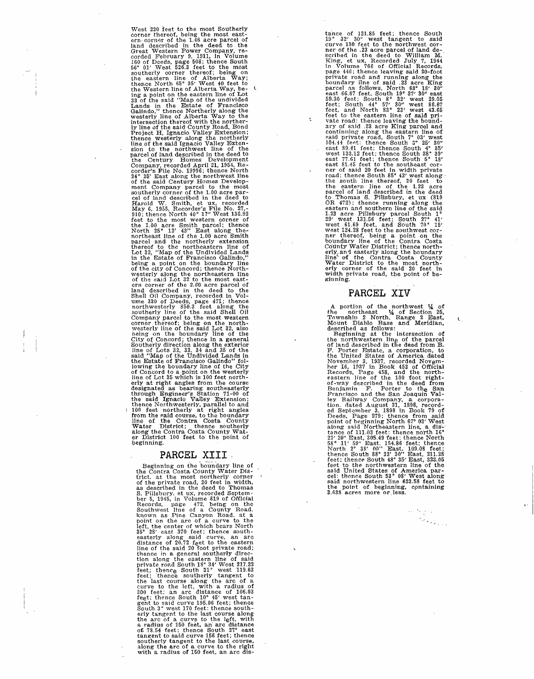West 220 feet to the most Southerly<br>corner thereof, being the most east-<br>ern-corner of the 1.46 acre parcel of<br>each described in the deed to the<br>Great Geodical theorem Fower Company, re-<br>Created February 9, 1911, in Volum cel of land described in the deed to<br>Harold W. Smith, et ux, recorded refusared W. Smith, et ux, recorder<br>File No. 27,-<br>910; thence North 40° 17″ West 136.92<br>feet to the most western corner of<br>the 1.00 acre Smith parcel; t erly at right angles from the course<br>designated as bearing southeasterly<br>through Engineer's Station 71-00 of<br>the said Ignacio Valley Extension;<br>thence Northwesterly, parallel to and<br>100 feet northerly at right angles<br>from line of the Contra Costa County<br>Water District; thence southerly along the Contra Costa County Wat- er District 100 feet to the point of beginning.

# **PARCEL XIII**  -

Beginning on the boundary line of<br>the Contra Costa County Water Dis-<br>trict. at the most northerly corner<br>of the private road, 20 feet in width,<br>as described in the deed to Thomas.<br>S. Pillsbury, et ux, recorded Septem-<br>ber of. 78.54 feet: thence South  $27^\circ$  east tangent to said curve 156 feet; thence southerly tangent to the last course, along the arc of a curve to the right with a radius of 160 feet, an arc distaince of 121.85 feet; thence South 19° 32' 30" west tangent to said neare of the 23 acre parcel of land de-<br>curve 130 feet to the northwest cor-<br>near of the 23 acre parcel of land de-<br>scribed in the deed to William M.<br>Ki OR 472); thence running along the eastern and southern line of the said 1.23 acre Pillsbury parcel South 1°<br> $29'$  west 131.56 feet; South 27° 41' west 61.69 feet, and South 70° 15' west 124.28 feet to the southwest corner thereof, being a point on the boundary line of the Contra Costa<br>Coundary line of the Contra Costa<br>Coundary line of the Contra Costa<br>County Water District; thence north-<br>erly and eas

k

## **PARCEL XIV**

't.

A portion of the northwest  $\frac{1}{4}$  of<br>the northeast  $\frac{1}{4}$  of the northeast  $\frac{1}{4}$  of Section 25,<br>Township 2 North, Range 2 East,<br>Mount Diablo Base and Meridian,<br>described as follows:<br>Beginning at the intersection tion. dated August 31, 1898, record-<br>ed September 3. 1898 in Book 79 of<br>Deeds, Page 279: thence from said<br>point of beginning North 67° 03' West<br>along said Northeastern line, a dis-<br> $21' 20''$  East, 305.49 feet: thence nort said northwestern line 623.58 feet to the point of beginning, containing 3.638 acres more or less.

> $\phi = \frac{1}{2} \sqrt{\frac{1}{2} \left( \frac{1}{2} \right)^2}$  .  $\sigma_{\rm{max}}$